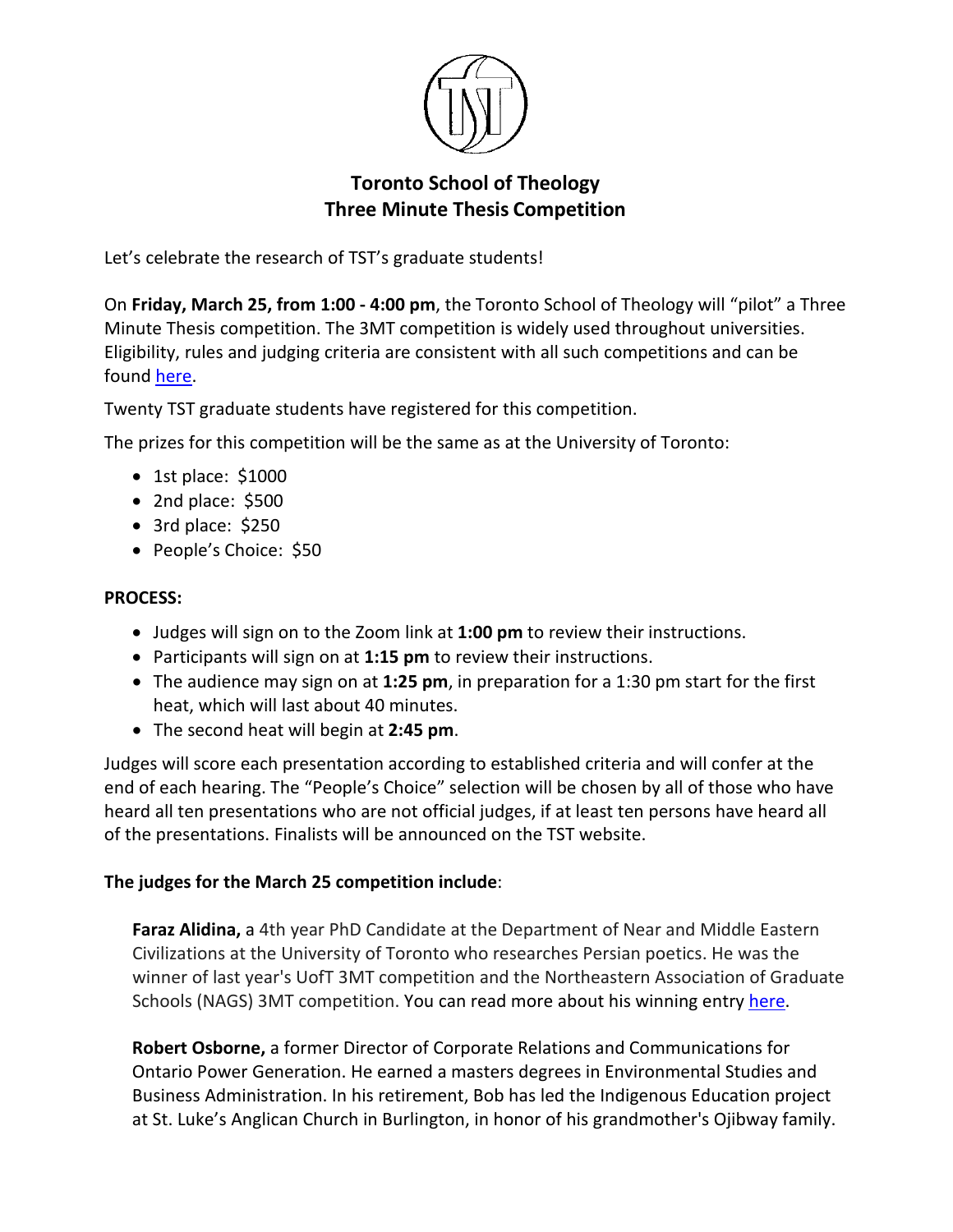

## **Toronto School of Theology Three Minute Thesis Competition**

Let's celebrate the research of TST's graduate students!

On **Friday, March 25, from 1:00 - 4:00 pm**, the Toronto School of Theology will "pilot" a Three Minute Thesis competition. The 3MT competition is widely used throughout universities. Eligibility, rules and judging criteria are consistent with all such competitions and can be found [here.](https://www.sgs.utoronto.ca/awards/three-minute-thesis-competition/)

Twenty TST graduate students have registered for this competition.

The prizes for this competition will be the same as at the University of Toronto:

- 1st place: \$1000
- 2nd place: \$500
- 3rd place: \$250
- People's Choice: \$50

## **PROCESS:**

- Judges will sign on to the Zoom link at **1:00 pm** to review their instructions.
- Participants will sign on at **1:15 pm** to review their instructions.
- The audience may sign on at **1:25 pm**, in preparation for a 1:30 pm start for the first heat, which will last about 40 minutes.
- The second heat will begin at **2:45 pm**.

Judges will score each presentation according to established criteria and will confer at the end of each hearing. The "People's Choice" selection will be chosen by all of those who have heard all ten presentations who are not official judges, if at least ten persons have heard all of the presentations. Finalists will be announced on the TST website.

## **The judges for the March 25 competition include**:

**Faraz Alidina,** a 4th year PhD Candidate at the Department of Near and Middle Eastern Civilizations at the University of Toronto who researches Persian poetics. He was the winner of last year's UofT 3MT competition and the Northeastern Association of Graduate Schools (NAGS) 3MT competition. You can read more about his winning entry [here.](https://www.sgs.utoronto.ca/2021/04/20/faraz-alidina/)

**Robert Osborne,** a former Director of Corporate Relations and Communications for Ontario Power Generation. He earned a masters degrees in Environmental Studies and Business Administration. In his retirement, Bob has led the Indigenous Education project at St. Luke's Anglican Church in Burlington, in honor of his grandmother's Ojibway family.